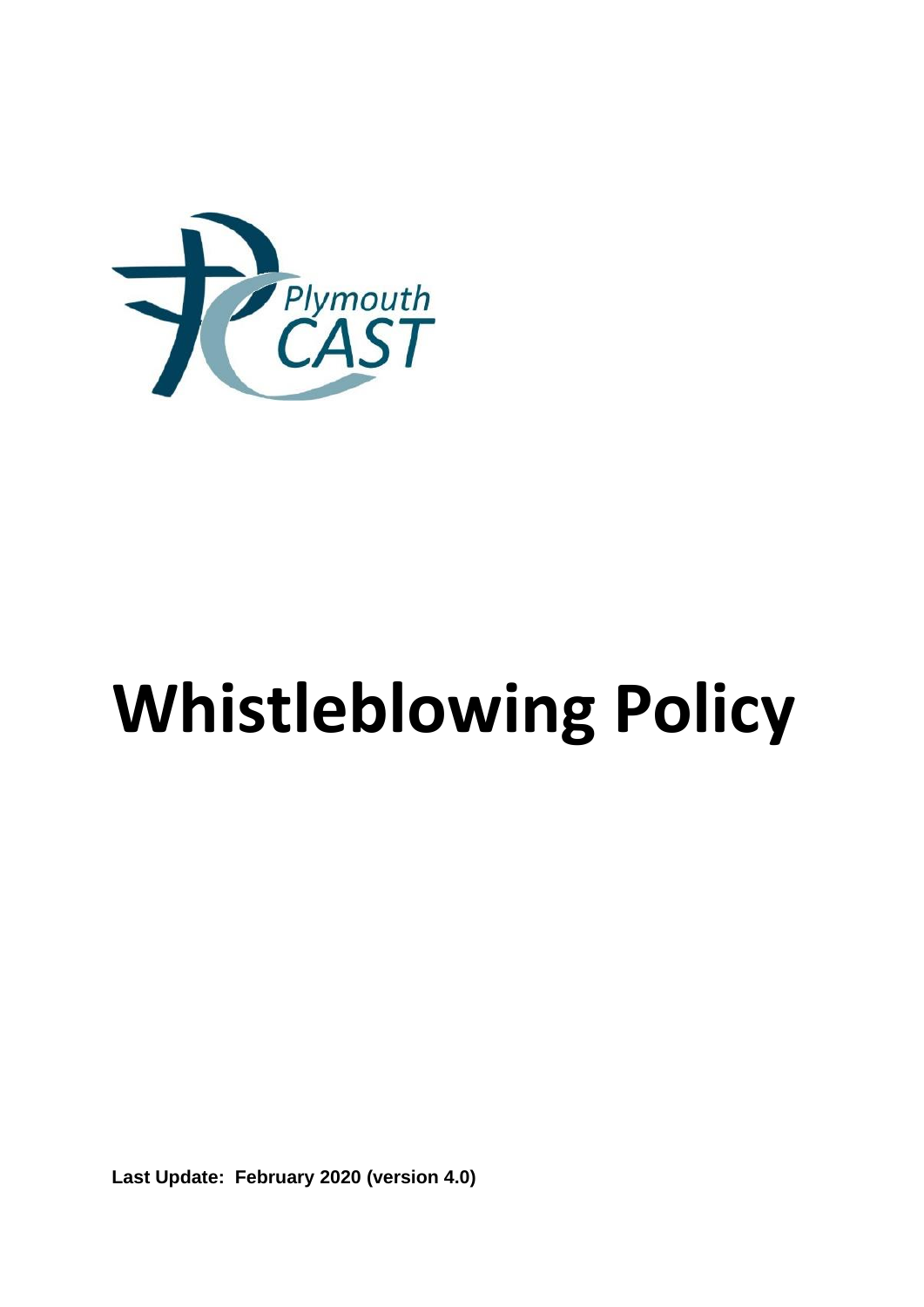

# **Whistleblowing Policy**

**Last Update: February 2020 (version 4.0)**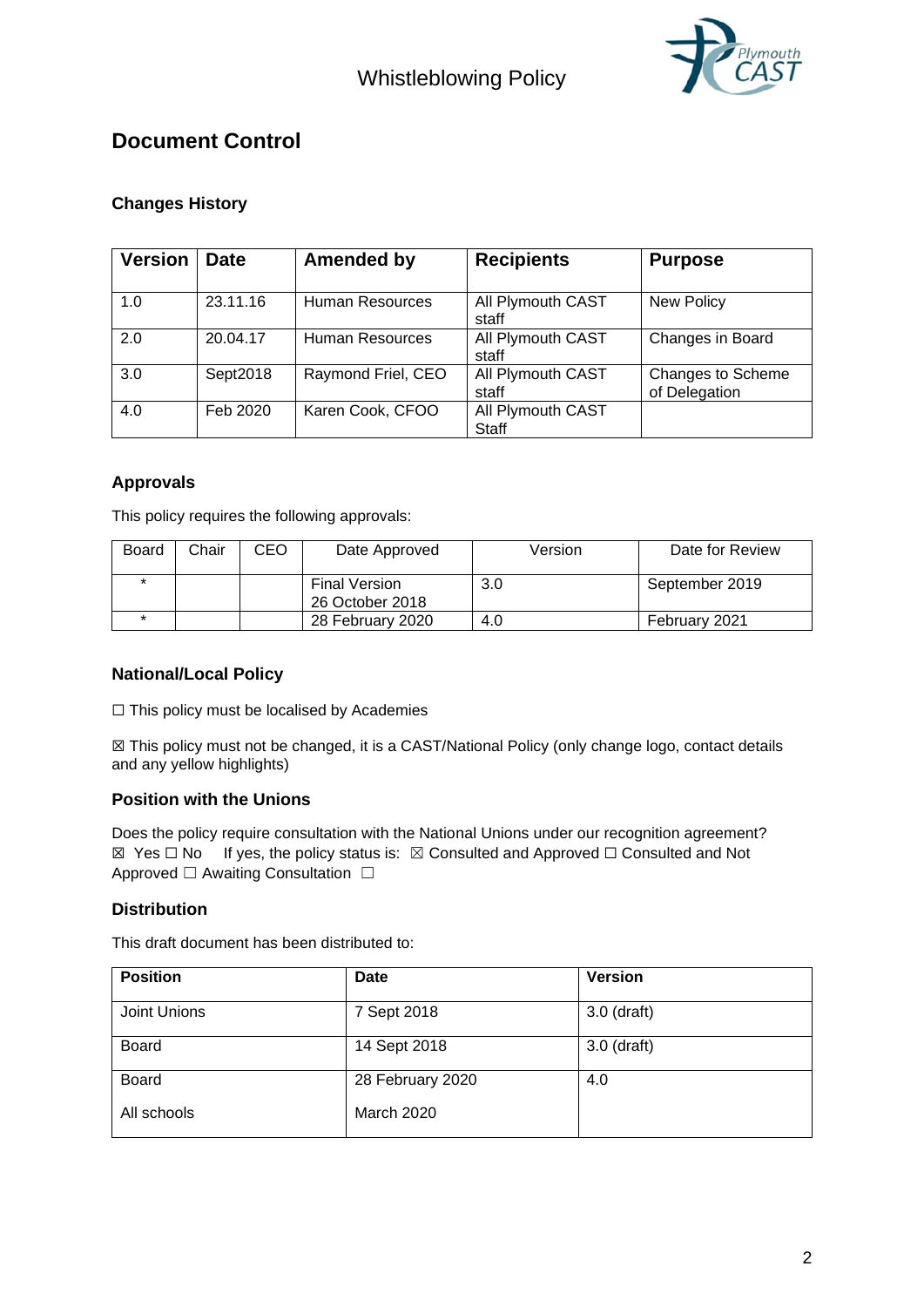

# **Document Control**

## **Changes History**

| <b>Version</b> | <b>Date</b> | <b>Amended by</b>  | <b>Recipients</b>          | <b>Purpose</b>                     |
|----------------|-------------|--------------------|----------------------------|------------------------------------|
| 1.0            | 23.11.16    | Human Resources    | All Plymouth CAST<br>staff | <b>New Policy</b>                  |
| 2.0            | 20.04.17    | Human Resources    | All Plymouth CAST<br>staff | Changes in Board                   |
| 3.0            | Sept2018    | Raymond Friel, CEO | All Plymouth CAST<br>staff | Changes to Scheme<br>of Delegation |
| 4.0            | Feb 2020    | Karen Cook, CFOO   | All Plymouth CAST<br>Staff |                                    |

## **Approvals**

This policy requires the following approvals:

| Board | Chair | CEO | Date Approved                           | Version | Date for Review |
|-------|-------|-----|-----------------------------------------|---------|-----------------|
|       |       |     | <b>Final Version</b><br>26 October 2018 | 3.0     | September 2019  |
|       |       |     | 28 February 2020                        | 4.0     | February 2021   |

## **National/Local Policy**

☐ This policy must be localised by Academies

☒ This policy must not be changed, it is a CAST/National Policy (only change logo, contact details and any yellow highlights)

#### **Position with the Unions**

Does the policy require consultation with the National Unions under our recognition agreement? ☒ Yes ☐ No If yes, the policy status is: ☒ Consulted and Approved ☐ Consulted and Not Approved □ Awaiting Consultation □

## **Distribution**

This draft document has been distributed to:

| <b>Position</b> | Date             | <b>Version</b> |
|-----------------|------------------|----------------|
| Joint Unions    | 7 Sept 2018      | $3.0$ (draft)  |
| <b>Board</b>    | 14 Sept 2018     | $3.0$ (draft)  |
| <b>Board</b>    | 28 February 2020 | 4.0            |
| All schools     | March 2020       |                |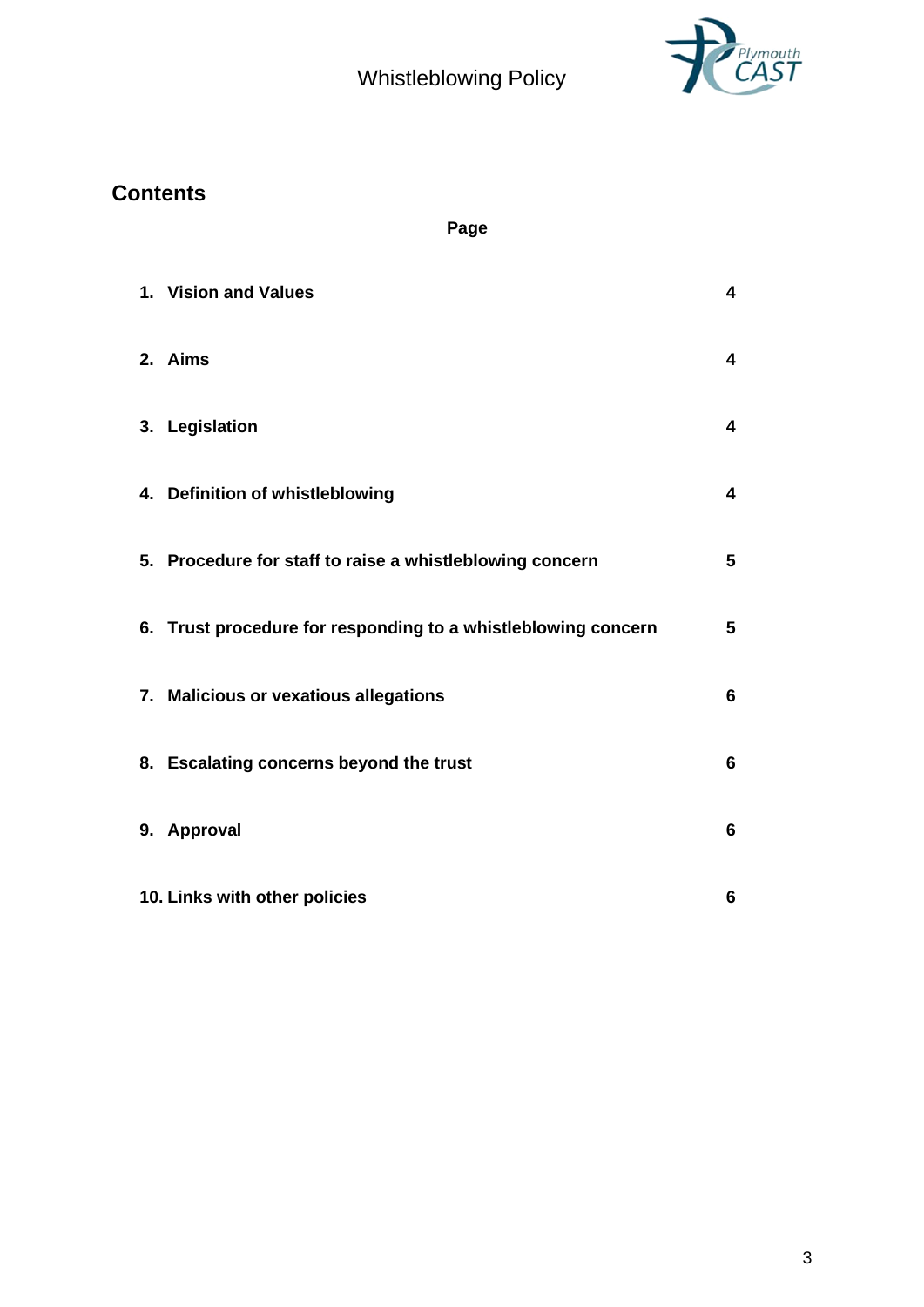Whistleblowing Policy



# **Contents**

**Page** 

| 1. Vision and Values                                          | 4                       |
|---------------------------------------------------------------|-------------------------|
| 2. Aims                                                       | 4                       |
| 3. Legislation                                                | $\overline{\mathbf{4}}$ |
| 4. Definition of whistleblowing                               | 4                       |
| 5. Procedure for staff to raise a whistleblowing concern      | 5                       |
| 6. Trust procedure for responding to a whistleblowing concern | $5\phantom{1}$          |
| 7. Malicious or vexatious allegations                         | 6                       |
| 8. Escalating concerns beyond the trust                       | 6                       |
| 9. Approval                                                   | 6                       |
| 10. Links with other policies                                 | 6                       |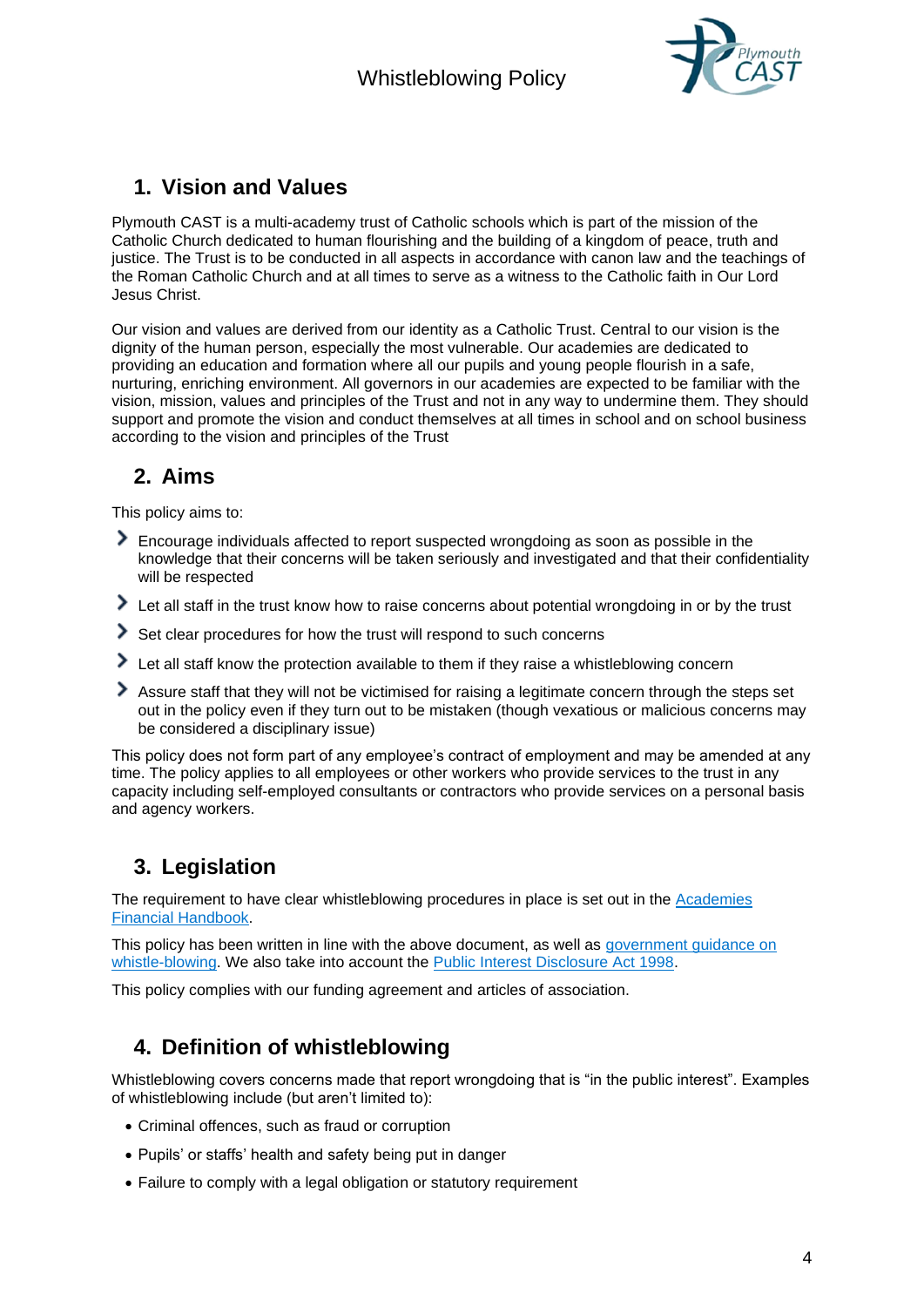

## **1. Vision and Values**

Plymouth CAST is a multi-academy trust of Catholic schools which is part of the mission of the Catholic Church dedicated to human flourishing and the building of a kingdom of peace, truth and justice. The Trust is to be conducted in all aspects in accordance with canon law and the teachings of the Roman Catholic Church and at all times to serve as a witness to the Catholic faith in Our Lord Jesus Christ.

Our vision and values are derived from our identity as a Catholic Trust. Central to our vision is the dignity of the human person, especially the most vulnerable. Our academies are dedicated to providing an education and formation where all our pupils and young people flourish in a safe, nurturing, enriching environment. All governors in our academies are expected to be familiar with the vision, mission, values and principles of the Trust and not in any way to undermine them. They should support and promote the vision and conduct themselves at all times in school and on school business according to the vision and principles of the Trust

## **2. Aims**

This policy aims to:

- Encourage individuals affected to report suspected wrongdoing as soon as possible in the knowledge that their concerns will be taken seriously and investigated and that their confidentiality will be respected
- I Let all staff in the trust know how to raise concerns about potential wrongdoing in or by the trust
- Set clear procedures for how the trust will respond to such concerns
- ⋟ Let all staff know the protection available to them if they raise a whistleblowing concern
- Assure staff that they will not be victimised for raising a legitimate concern through the steps set out in the policy even if they turn out to be mistaken (though vexatious or malicious concerns may be considered a disciplinary issue)

This policy does not form part of any employee's contract of employment and may be amended at any time. The policy applies to all employees or other workers who provide services to the trust in any capacity including self-employed consultants or contractors who provide services on a personal basis and agency workers.

# **3. Legislation**

The requirement to have clear whistleblowing procedures in place is set out in the Academies [Financial Handbook.](https://www.gov.uk/government/publications/academies-financial-handbook)

This policy has been written in line with the above document, as well as [government guidance on](https://www.gov.uk/whistleblowing)  [whistle-blowing.](https://www.gov.uk/whistleblowing) We also take into account the [Public Interest Disclosure Act 1998.](https://www.legislation.gov.uk/ukpga/1998/23/contents)

This policy complies with our funding agreement and articles of association.

# **4. Definition of whistleblowing**

Whistleblowing covers concerns made that report wrongdoing that is "in the public interest". Examples of whistleblowing include (but aren't limited to):

- Criminal offences, such as fraud or corruption
- Pupils' or staffs' health and safety being put in danger
- Failure to comply with a legal obligation or statutory requirement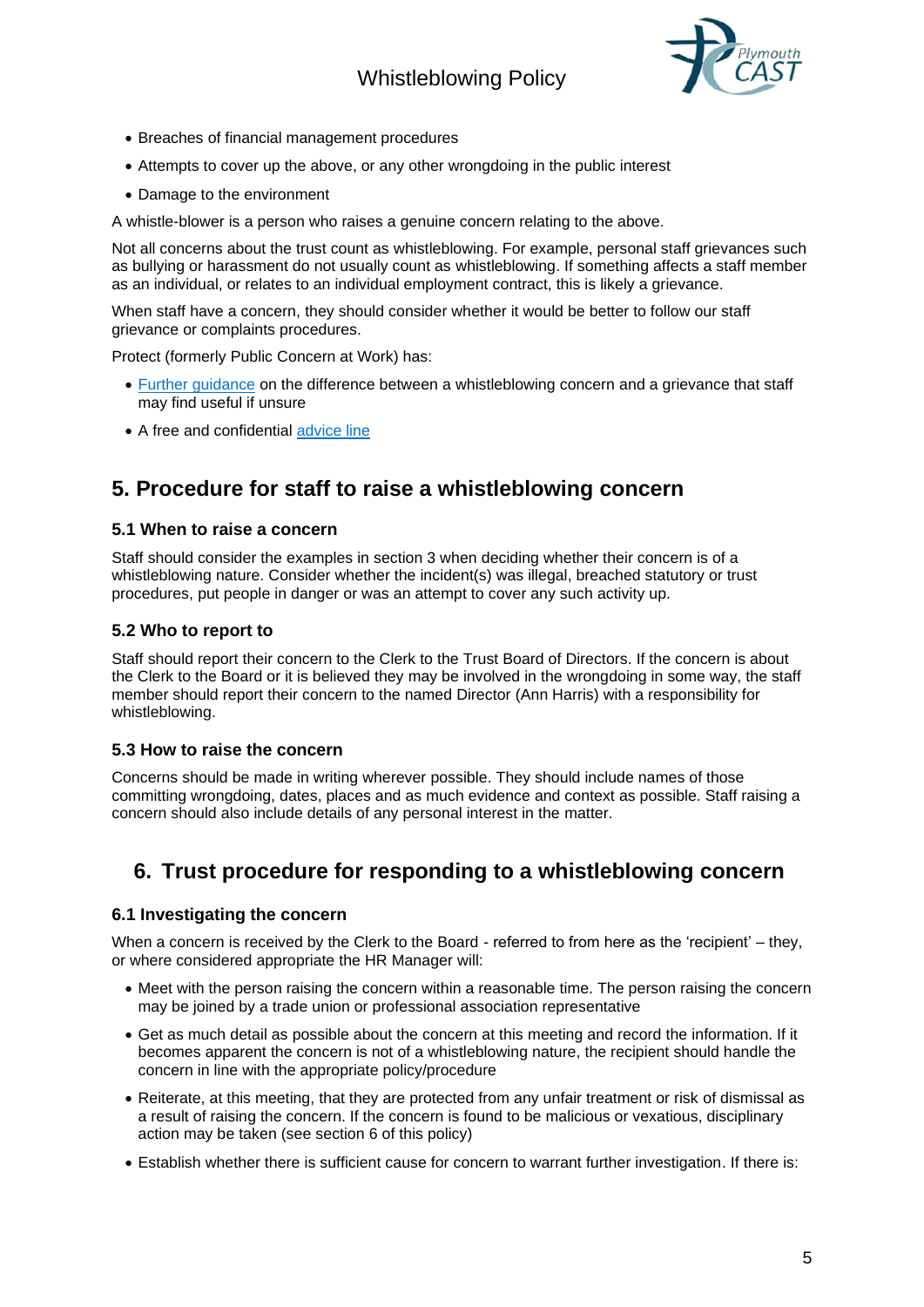# Whistleblowing Policy



- Breaches of financial management procedures
- Attempts to cover up the above, or any other wrongdoing in the public interest
- Damage to the environment

A whistle-blower is a person who raises a genuine concern relating to the above.

Not all concerns about the trust count as whistleblowing. For example, personal staff grievances such as bullying or harassment do not usually count as whistleblowing. If something affects a staff member as an individual, or relates to an individual employment contract, this is likely a grievance.

When staff have a concern, they should consider whether it would be better to follow our staff grievance or complaints procedures.

Protect (formerly Public Concern at Work) has:

- [Further guidance](https://protect-advice.org.uk/what-is-the-difference-between-raising-a-grievance-and-whistleblowing/) on the difference between a whistleblowing concern and a grievance that staff may find useful if unsure
- A free and confidential [advice line](https://www.pcaw.org.uk/advice-line/)

## **5. Procedure for staff to raise a whistleblowing concern**

#### **5.1 When to raise a concern**

Staff should consider the examples in section 3 when deciding whether their concern is of a whistleblowing nature. Consider whether the incident(s) was illegal, breached statutory or trust procedures, put people in danger or was an attempt to cover any such activity up.

#### **5.2 Who to report to**

Staff should report their concern to the Clerk to the Trust Board of Directors. If the concern is about the Clerk to the Board or it is believed they may be involved in the wrongdoing in some way, the staff member should report their concern to the named Director (Ann Harris) with a responsibility for whistleblowing.

#### **5.3 How to raise the concern**

Concerns should be made in writing wherever possible. They should include names of those committing wrongdoing, dates, places and as much evidence and context as possible. Staff raising a concern should also include details of any personal interest in the matter.

## **6. Trust procedure for responding to a whistleblowing concern**

#### **6.1 Investigating the concern**

When a concern is received by the Clerk to the Board - referred to from here as the 'recipient' – they, or where considered appropriate the HR Manager will:

- Meet with the person raising the concern within a reasonable time. The person raising the concern may be joined by a trade union or professional association representative
- Get as much detail as possible about the concern at this meeting and record the information. If it becomes apparent the concern is not of a whistleblowing nature, the recipient should handle the concern in line with the appropriate policy/procedure
- Reiterate, at this meeting, that they are protected from any unfair treatment or risk of dismissal as a result of raising the concern. If the concern is found to be malicious or vexatious, disciplinary action may be taken (see section 6 of this policy)
- Establish whether there is sufficient cause for concern to warrant further investigation. If there is: